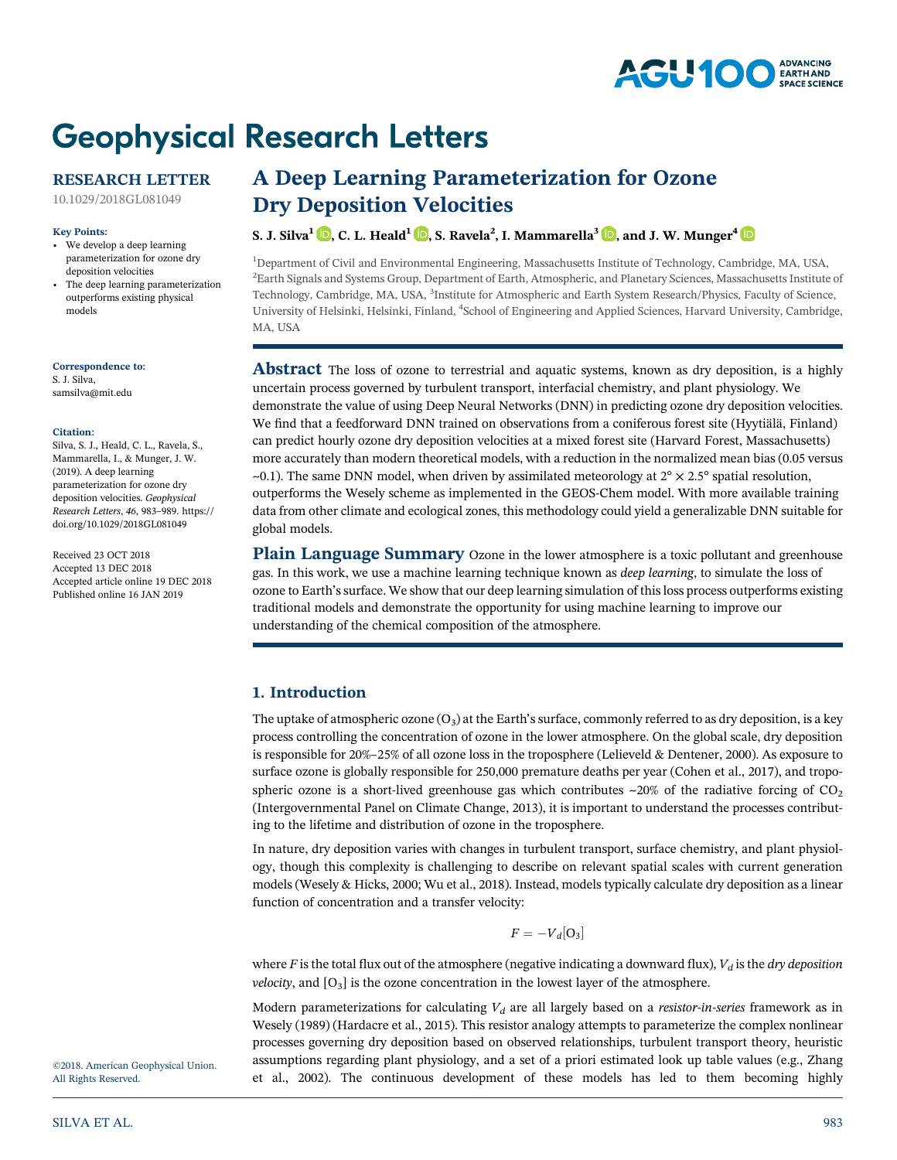#### **AGU100 ADVANCING** EARTH AND **SPACE SCIENCE**

# **Geophysical Research Letters**

# RESEARCH LETTER

[10.1029/2018GL081049](http://dx.doi.org/10.1029/2018GL081049)

#### Key Points:

- We develop a deep learning parameterization for ozone dry deposition velocities
- • The deep learning parameterization outperforms existing physical models

Correspondence to: S. J. Silva, [samsilva@mit.edu](mailto:samsilva@mit.edu)

#### Citation:

Silva, S. J., Heald, C. L., Ravela, S., Mammarella, I., & Munger, J. W. (2019). A deep learning parameterization for ozone dry deposition velocities. Geophysical Research Letters, <sup>46</sup>, 983–989. [https://](https://doi.org/10.1029/2018GL081049) [doi.org/10.1029/2018GL081049](https://doi.org/10.1029/2018GL081049)

Received 23 OCT 2018 Accepted 13 DEC 2018 Accepted article online 19 DEC 2018 Published online 16 JAN 2019

# A Deep Learning Parameterization for Ozone Dry Deposition Velocities

# S. J. Silva<sup>1</sup>  $\mathbb{D}$ [,](https://orcid.org/0000-0002-8516-3356) C. L. Heald<sup>1</sup>  $\mathbb{D}$ , S. Ravela<sup>2</sup>, I. Mammarella<sup>3</sup>  $\mathbb{D}$ , and J. W. Munger<sup>4</sup>

<sup>1</sup>Department of Civil and Environmental Engineering, Massachusetts Institute of Technology, Cambridge, MA, USA, 2 Earth Signals and Systems Group, Department of Earth, Atmospheric, and Planetary Sciences, Massachusetts Institute of Technology, Cambridge, MA, USA, <sup>3</sup>Institute for Atmospheric and Earth System Research/Physics, Faculty of Science, University of Helsinki, Helsinki, Finland, <sup>4</sup>School of Engineering and Applied Sciences, Harvard University, Cambridge, MA, USA

Abstract The loss of ozone to terrestrial and aquatic systems, known as dry deposition, is a highly uncertain process governed by turbulent transport, interfacial chemistry, and plant physiology. We demonstrate the value of using Deep Neural Networks (DNN) in predicting ozone dry deposition velocities. We find that a feedforward DNN trained on observations from a coniferous forest site (Hyytiälä, Finland) can predict hourly ozone dry deposition velocities at a mixed forest site (Harvard Forest, Massachusetts) more accurately than modern theoretical models, with a reduction in the normalized mean bias (0.05 versus  $\sim$ 0.1). The same DNN model, when driven by assimilated meteorology at  $2^\circ \times 2.5^\circ$  spatial resolution, outperforms the Wesely scheme as implemented in the GEOS-Chem model. With more available training data from other climate and ecological zones, this methodology could yield a generalizable DNN suitable for global models.

Plain Language Summary Ozone in the lower atmosphere is a toxic pollutant and greenhouse gas. In this work, we use a machine learning technique known as deep learning, to simulate the loss of ozone to Earth's surface. We show that our deep learning simulation of this loss process outperforms existing traditional models and demonstrate the opportunity for using machine learning to improve our understanding of the chemical composition of the atmosphere.

# 1. Introduction

The uptake of atmospheric ozone  $(O_3)$  at the Earth's surface, commonly referred to as dry deposition, is a key process controlling the concentration of ozone in the lower atmosphere. On the global scale, dry deposition is responsible for 20%–25% of all ozone loss in the troposphere (Lelieveld & Dentener, 2000). As exposure to surface ozone is globally responsible for 250,000 premature deaths per year (Cohen et al., 2017), and tropospheric ozone is a short-lived greenhouse gas which contributes  $\sim$ 20% of the radiative forcing of CO<sub>2</sub> (Intergovernmental Panel on Climate Change, 2013), it is important to understand the processes contributing to the lifetime and distribution of ozone in the troposphere.

In nature, dry deposition varies with changes in turbulent transport, surface chemistry, and plant physiology, though this complexity is challenging to describe on relevant spatial scales with current generation models (Wesely & Hicks, 2000; Wu et al., 2018). Instead, models typically calculate dry deposition as a linear function of concentration and a transfer velocity:

$$
F=-V_d[O_3]
$$

where F is the total flux out of the atmosphere (negative indicating a downward flux),  $V_d$  is the dry deposition *velocity*, and  $[O_3]$  is the ozone concentration in the lowest layer of the atmosphere.

Modern parameterizations for calculating  $V_d$  are all largely based on a *resistor-in-series* framework as in Wesely (1989) (Hardacre et al., 2015). This resistor analogy attempts to parameterize the complex nonlinear processes governing dry deposition based on observed relationships, turbulent transport theory, heuristic assumptions regarding plant physiology, and a set of a priori estimated look up table values (e.g., Zhang et al., 2002). The continuous development of these models has led to them becoming highly

©2018. American Geophysical Union. All Rights Reserved.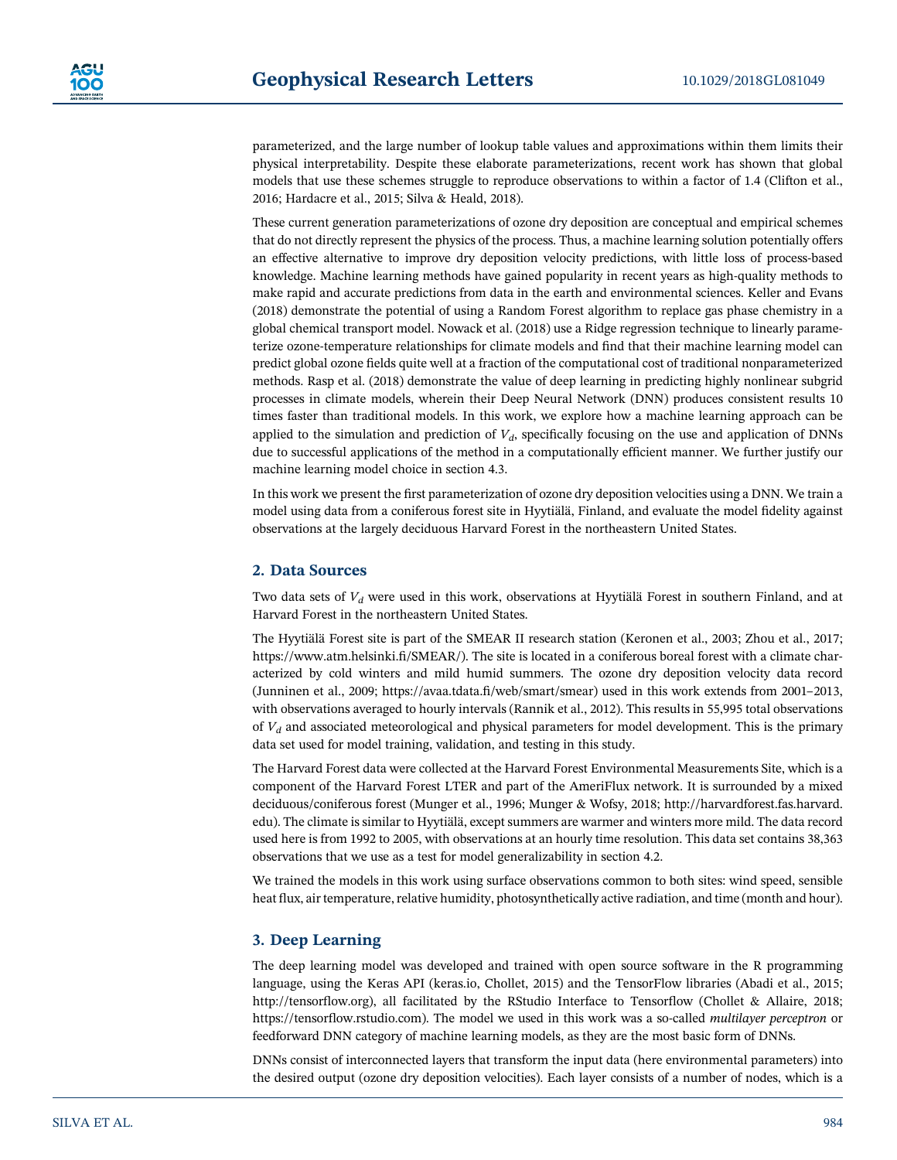parameterized, and the large number of lookup table values and approximations within them limits their physical interpretability. Despite these elaborate parameterizations, recent work has shown that global models that use these schemes struggle to reproduce observations to within a factor of 1.4 (Clifton et al., 2016; Hardacre et al., 2015; Silva & Heald, 2018).

These current generation parameterizations of ozone dry deposition are conceptual and empirical schemes that do not directly represent the physics of the process. Thus, a machine learning solution potentially offers an effective alternative to improve dry deposition velocity predictions, with little loss of process-based knowledge. Machine learning methods have gained popularity in recent years as high-quality methods to make rapid and accurate predictions from data in the earth and environmental sciences. Keller and Evans (2018) demonstrate the potential of using a Random Forest algorithm to replace gas phase chemistry in a global chemical transport model. Nowack et al. (2018) use a Ridge regression technique to linearly parameterize ozone-temperature relationships for climate models and find that their machine learning model can predict global ozone fields quite well at a fraction of the computational cost of traditional nonparameterized methods. Rasp et al. (2018) demonstrate the value of deep learning in predicting highly nonlinear subgrid processes in climate models, wherein their Deep Neural Network (DNN) produces consistent results 10 times faster than traditional models. In this work, we explore how a machine learning approach can be applied to the simulation and prediction of  $V<sub>d</sub>$ , specifically focusing on the use and application of DNNs due to successful applications of the method in a computationally efficient manner. We further justify our machine learning model choice in section 4.3.

In this work we present the first parameterization of ozone dry deposition velocities using a DNN. We train a model using data from a coniferous forest site in Hyytiälä, Finland, and evaluate the model fidelity against observations at the largely deciduous Harvard Forest in the northeastern United States.

## 2. Data Sources

Two data sets of  $V_d$  were used in this work, observations at Hyytiälä Forest in southern Finland, and at Harvard Forest in the northeastern United States.

The Hyytiälä Forest site is part of the SMEAR II research station (Keronen et al., 2003; Zhou et al., 2017; [https://www.atm.helsinki.](https://www.atm.helsinki.fi/SMEAR/)fi/SMEAR/). The site is located in a coniferous boreal forest with a climate characterized by cold winters and mild humid summers. The ozone dry deposition velocity data record (Junninen et al., 2009; https://avaa.tdata.fi[/web/smart/smear](https://avaa.tdata.fi/web/smart/smear)) used in this work extends from 2001–2013, with observations averaged to hourly intervals (Rannik et al., 2012). This results in 55,995 total observations of  $V_d$  and associated meteorological and physical parameters for model development. This is the primary data set used for model training, validation, and testing in this study.

The Harvard Forest data were collected at the Harvard Forest Environmental Measurements Site, which is a component of the Harvard Forest LTER and part of the AmeriFlux network. It is surrounded by a mixed deciduous/coniferous forest (Munger et al., 1996; Munger & Wofsy, 2018; [http://harvardforest.fas.harvard.](http://harvardforest.fas.harvard.edu) [edu](http://harvardforest.fas.harvard.edu)). The climate is similar to Hyytiälä, except summers are warmer and winters more mild. The data record used here is from 1992 to 2005, with observations at an hourly time resolution. This data set contains 38,363 observations that we use as a test for model generalizability in section 4.2.

We trained the models in this work using surface observations common to both sites: wind speed, sensible heat flux, air temperature, relative humidity, photosynthetically active radiation, and time (month and hour).

# 3. Deep Learning

The deep learning model was developed and trained with open source software in the R programming language, using the Keras API (keras.io, Chollet, 2015) and the TensorFlow libraries (Abadi et al., 2015; [http://tensor](http://tensorflow.org)flow.org), all facilitated by the RStudio Interface to Tensorflow (Chollet & Allaire, 2018; https://tensorfl[ow.rstudio.com\)](https://tensorflow.rstudio.com). The model we used in this work was a so-called multilayer perceptron or feedforward DNN category of machine learning models, as they are the most basic form of DNNs.

DNNs consist of interconnected layers that transform the input data (here environmental parameters) into the desired output (ozone dry deposition velocities). Each layer consists of a number of nodes, which is a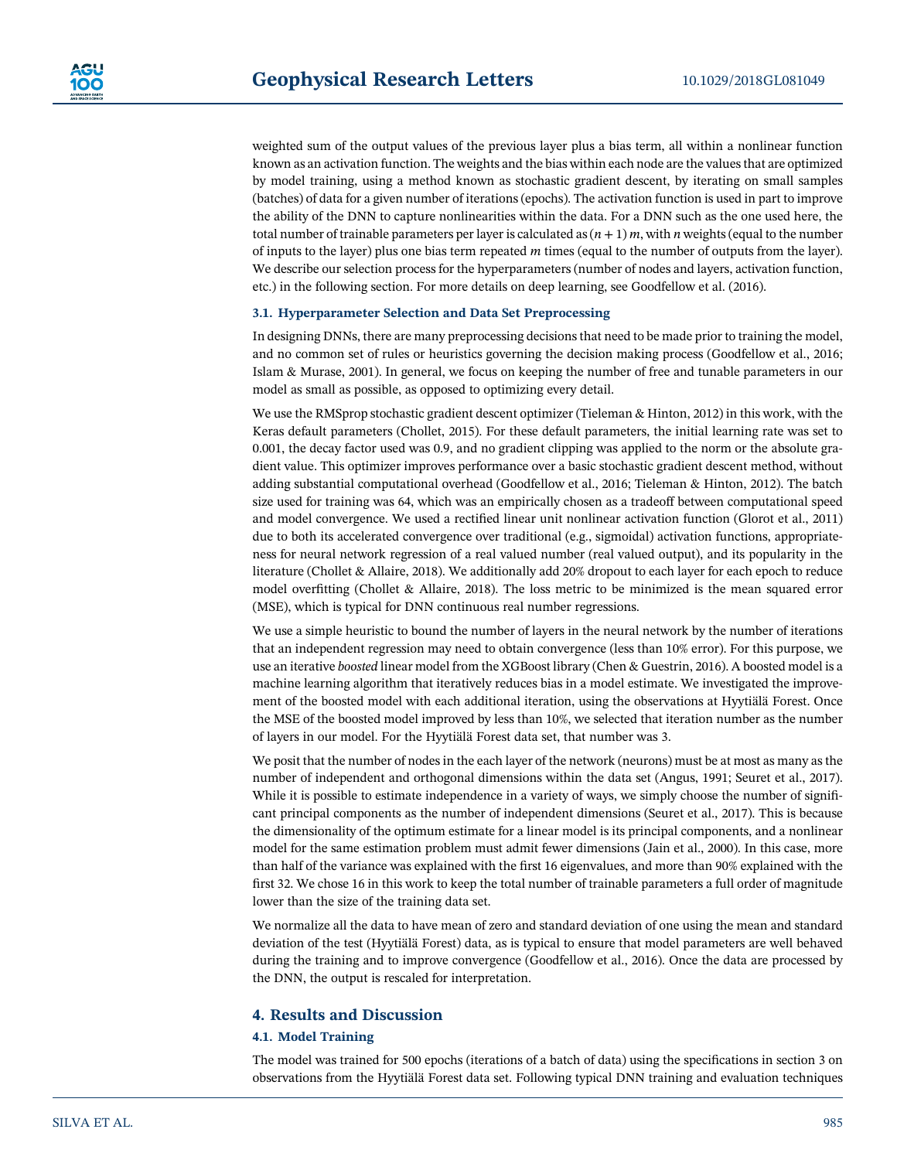weighted sum of the output values of the previous layer plus a bias term, all within a nonlinear function known as an activation function. The weights and the bias within each node are the values that are optimized by model training, using a method known as stochastic gradient descent, by iterating on small samples (batches) of data for a given number of iterations (epochs). The activation function is used in part to improve the ability of the DNN to capture nonlinearities within the data. For a DNN such as the one used here, the total number of trainable parameters per layer is calculated as  $(n + 1)m$ , with n weights (equal to the number of inputs to the layer) plus one bias term repeated  $m$  times (equal to the number of outputs from the layer). We describe our selection process for the hyperparameters (number of nodes and layers, activation function, etc.) in the following section. For more details on deep learning, see Goodfellow et al. (2016).

#### 3.1. Hyperparameter Selection and Data Set Preprocessing

In designing DNNs, there are many preprocessing decisions that need to be made prior to training the model, and no common set of rules or heuristics governing the decision making process (Goodfellow et al., 2016; Islam & Murase, 2001). In general, we focus on keeping the number of free and tunable parameters in our model as small as possible, as opposed to optimizing every detail.

We use the RMSprop stochastic gradient descent optimizer (Tieleman & Hinton, 2012) in this work, with the Keras default parameters (Chollet, 2015). For these default parameters, the initial learning rate was set to 0.001, the decay factor used was 0.9, and no gradient clipping was applied to the norm or the absolute gradient value. This optimizer improves performance over a basic stochastic gradient descent method, without adding substantial computational overhead (Goodfellow et al., 2016; Tieleman & Hinton, 2012). The batch size used for training was 64, which was an empirically chosen as a tradeoff between computational speed and model convergence. We used a rectified linear unit nonlinear activation function (Glorot et al., 2011) due to both its accelerated convergence over traditional (e.g., sigmoidal) activation functions, appropriateness for neural network regression of a real valued number (real valued output), and its popularity in the literature (Chollet & Allaire, 2018). We additionally add 20% dropout to each layer for each epoch to reduce model overfitting (Chollet & Allaire, 2018). The loss metric to be minimized is the mean squared error (MSE), which is typical for DNN continuous real number regressions.

We use a simple heuristic to bound the number of layers in the neural network by the number of iterations that an independent regression may need to obtain convergence (less than 10% error). For this purpose, we use an iterative boosted linear model from the XGBoost library (Chen & Guestrin, 2016). A boosted model is a machine learning algorithm that iteratively reduces bias in a model estimate. We investigated the improvement of the boosted model with each additional iteration, using the observations at Hyytiälä Forest. Once the MSE of the boosted model improved by less than 10%, we selected that iteration number as the number of layers in our model. For the Hyytiälä Forest data set, that number was 3.

We posit that the number of nodes in the each layer of the network (neurons) must be at most as many as the number of independent and orthogonal dimensions within the data set (Angus, 1991; Seuret et al., 2017). While it is possible to estimate independence in a variety of ways, we simply choose the number of significant principal components as the number of independent dimensions (Seuret et al., 2017). This is because the dimensionality of the optimum estimate for a linear model is its principal components, and a nonlinear model for the same estimation problem must admit fewer dimensions (Jain et al., 2000). In this case, more than half of the variance was explained with the first 16 eigenvalues, and more than 90% explained with the first 32. We chose 16 in this work to keep the total number of trainable parameters a full order of magnitude lower than the size of the training data set.

We normalize all the data to have mean of zero and standard deviation of one using the mean and standard deviation of the test (Hyytiälä Forest) data, as is typical to ensure that model parameters are well behaved during the training and to improve convergence (Goodfellow et al., 2016). Once the data are processed by the DNN, the output is rescaled for interpretation.

### 4. Results and Discussion

#### 4.1. Model Training

The model was trained for 500 epochs (iterations of a batch of data) using the specifications in section 3 on observations from the Hyytiälä Forest data set. Following typical DNN training and evaluation techniques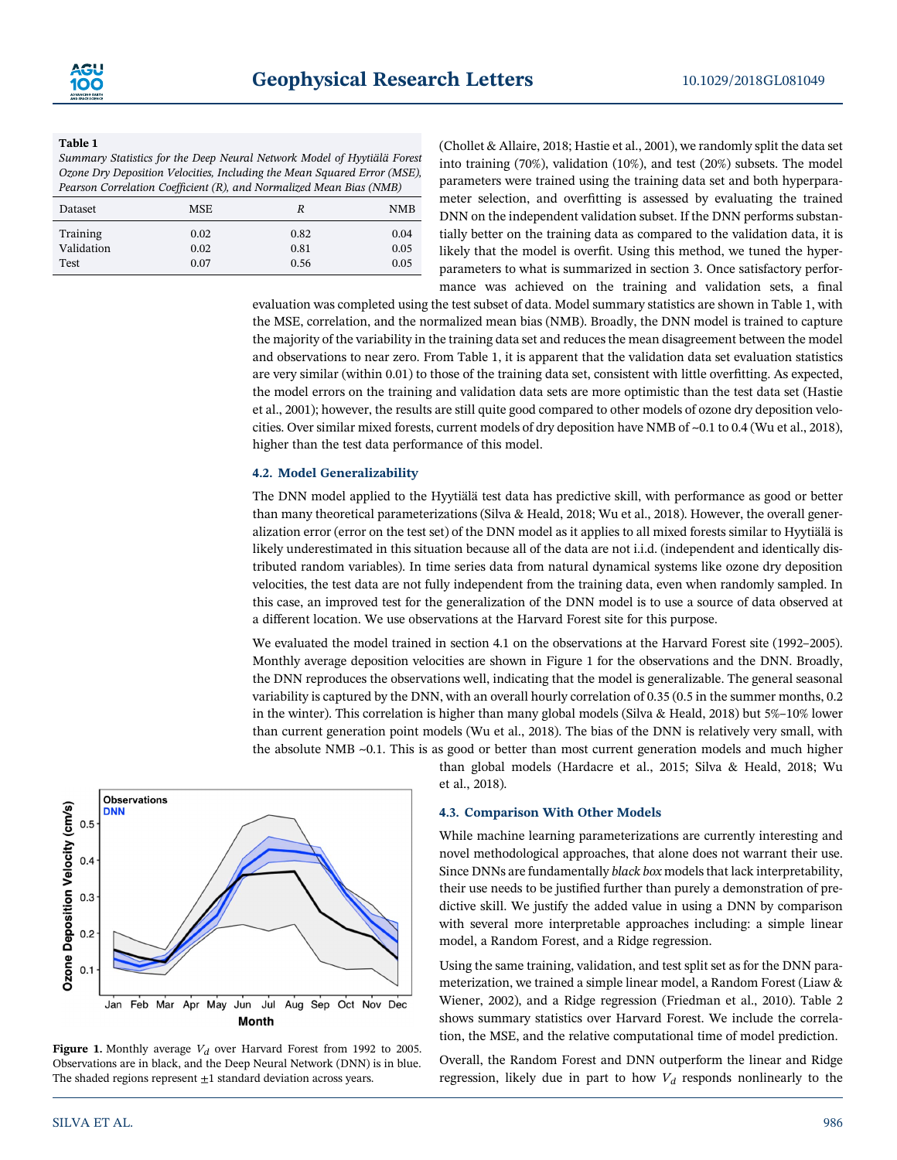#### Table 1

Summary Statistics for the Deep Neural Network Model of Hyytiälä Forest Ozone Dry Deposition Velocities, Including the Mean Squared Error (MSE), Pearson Correlation Coefficient (R), and Normalized Mean Bias (NMB)

| <b>MSE</b><br>Dataset<br>R                                                     |                      |
|--------------------------------------------------------------------------------|----------------------|
|                                                                                | <b>NMB</b>           |
| Training<br>0.82<br>0.02<br>Validation<br>0.81<br>0.02<br>0.07<br>0.56<br>Test | 0.04<br>0.05<br>0.05 |

(Chollet & Allaire, 2018; Hastie et al., 2001), we randomly split the data set into training (70%), validation (10%), and test (20%) subsets. The model parameters were trained using the training data set and both hyperparameter selection, and overfitting is assessed by evaluating the trained DNN on the independent validation subset. If the DNN performs substantially better on the training data as compared to the validation data, it is likely that the model is overfit. Using this method, we tuned the hyperparameters to what is summarized in section 3. Once satisfactory performance was achieved on the training and validation sets, a final

evaluation was completed using the test subset of data. Model summary statistics are shown in Table 1, with the MSE, correlation, and the normalized mean bias (NMB). Broadly, the DNN model is trained to capture the majority of the variability in the training data set and reduces the mean disagreement between the model and observations to near zero. From Table 1, it is apparent that the validation data set evaluation statistics are very similar (within 0.01) to those of the training data set, consistent with little overfitting. As expected, the model errors on the training and validation data sets are more optimistic than the test data set (Hastie et al., 2001); however, the results are still quite good compared to other models of ozone dry deposition velocities. Over similar mixed forests, current models of dry deposition have NMB of ~0.1 to 0.4 (Wu et al., 2018), higher than the test data performance of this model.

#### 4.2. Model Generalizability

The DNN model applied to the Hyytiälä test data has predictive skill, with performance as good or better than many theoretical parameterizations (Silva & Heald, 2018; Wu et al., 2018). However, the overall generalization error (error on the test set) of the DNN model as it applies to all mixed forests similar to Hyytiälä is likely underestimated in this situation because all of the data are not i.i.d. (independent and identically distributed random variables). In time series data from natural dynamical systems like ozone dry deposition velocities, the test data are not fully independent from the training data, even when randomly sampled. In this case, an improved test for the generalization of the DNN model is to use a source of data observed at a different location. We use observations at the Harvard Forest site for this purpose.

We evaluated the model trained in section 4.1 on the observations at the Harvard Forest site (1992–2005). Monthly average deposition velocities are shown in Figure 1 for the observations and the DNN. Broadly, the DNN reproduces the observations well, indicating that the model is generalizable. The general seasonal variability is captured by the DNN, with an overall hourly correlation of 0.35 (0.5 in the summer months, 0.2 in the winter). This correlation is higher than many global models (Silva & Heald, 2018) but 5%–10% lower than current generation point models (Wu et al., 2018). The bias of the DNN is relatively very small, with the absolute NMB ~0.1. This is as good or better than most current generation models and much higher



Figure 1. Monthly average  $V_d$  over Harvard Forest from 1992 to 2005. Observations are in black, and the Deep Neural Network (DNN) is in blue. The shaded regions represent  $\pm 1$  standard deviation across years.

than global models (Hardacre et al., 2015; Silva & Heald, 2018; Wu et al., 2018).

#### 4.3. Comparison With Other Models

While machine learning parameterizations are currently interesting and novel methodological approaches, that alone does not warrant their use. Since DNNs are fundamentally black box models that lack interpretability, their use needs to be justified further than purely a demonstration of predictive skill. We justify the added value in using a DNN by comparison with several more interpretable approaches including: a simple linear model, a Random Forest, and a Ridge regression.

Using the same training, validation, and test split set as for the DNN parameterization, we trained a simple linear model, a Random Forest (Liaw & Wiener, 2002), and a Ridge regression (Friedman et al., 2010). Table 2 shows summary statistics over Harvard Forest. We include the correlation, the MSE, and the relative computational time of model prediction.

Overall, the Random Forest and DNN outperform the linear and Ridge regression, likely due in part to how  $V_d$  responds nonlinearly to the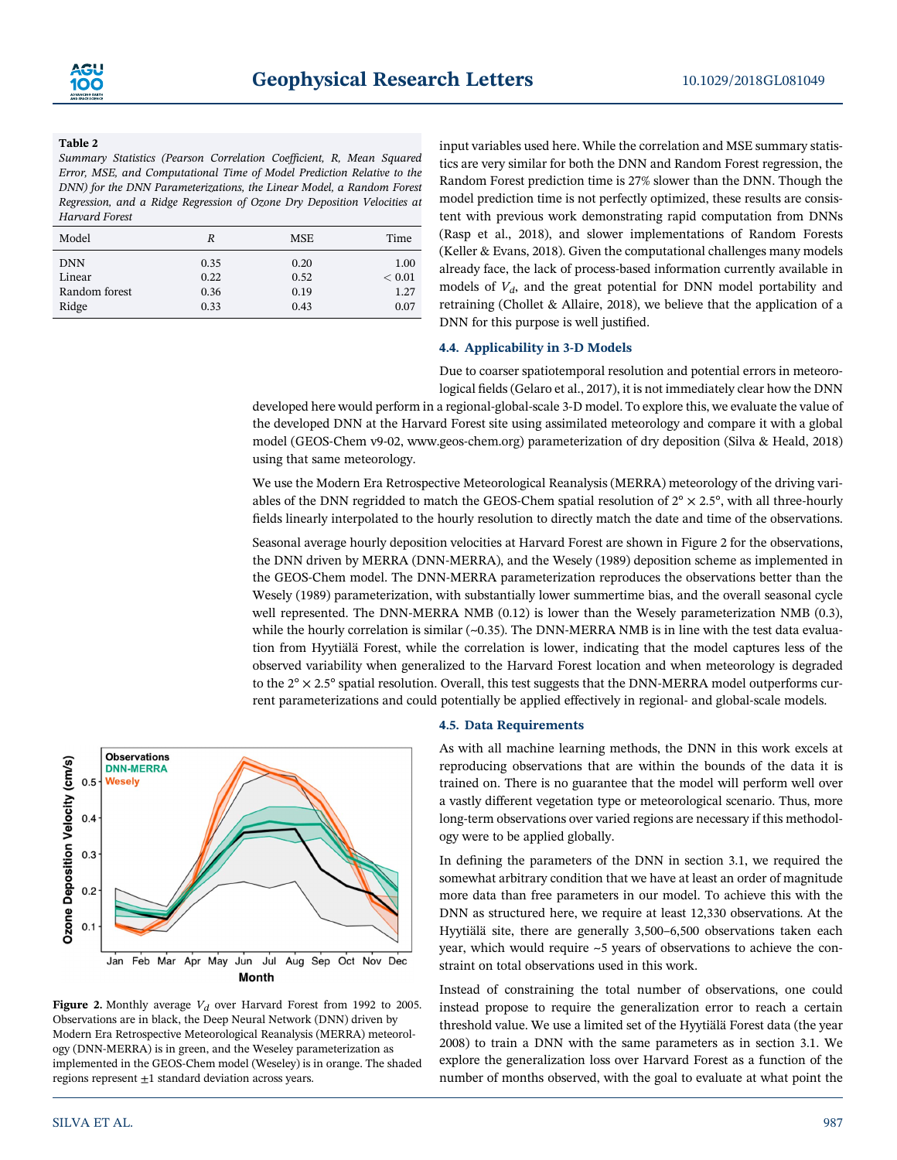#### Table 2

Summary Statistics (Pearson Correlation Coefficient, R, Mean Squared Error, MSE, and Computational Time of Model Prediction Relative to the DNN) for the DNN Parameterizations, the Linear Model, a Random Forest Regression, and a Ridge Regression of Ozone Dry Deposition Velocities at Harvard Forest

| Model         | R    | <b>MSE</b> | Time   |
|---------------|------|------------|--------|
| <b>DNN</b>    | 0.35 | 0.20       | 1.00   |
| Linear        | 0.22 | 0.52       | < 0.01 |
| Random forest | 0.36 | 0.19       | 1.27   |
| Ridge         | 0.33 | 0.43       | 0.07   |

input variables used here. While the correlation and MSE summary statistics are very similar for both the DNN and Random Forest regression, the Random Forest prediction time is 27% slower than the DNN. Though the model prediction time is not perfectly optimized, these results are consistent with previous work demonstrating rapid computation from DNNs (Rasp et al., 2018), and slower implementations of Random Forests (Keller & Evans, 2018). Given the computational challenges many models already face, the lack of process-based information currently available in models of  $V<sub>d</sub>$ , and the great potential for DNN model portability and retraining (Chollet & Allaire, 2018), we believe that the application of a DNN for this purpose is well justified.

#### 4.4. Applicability in 3-D Models

Due to coarser spatiotemporal resolution and potential errors in meteorological fields (Gelaro et al., 2017), it is not immediately clear how the DNN

developed here would perform in a regional-global-scale 3-D model. To explore this, we evaluate the value of the developed DNN at the Harvard Forest site using assimilated meteorology and compare it with a global model (GEOS-Chem v9-02, [www.geos-chem.org\)](http://www.geos-chem.org) parameterization of dry deposition (Silva & Heald, 2018) using that same meteorology.

We use the Modern Era Retrospective Meteorological Reanalysis (MERRA) meteorology of the driving variables of the DNN regridded to match the GEOS-Chem spatial resolution of  $2^{\circ} \times 2.5^{\circ}$ , with all three-hourly fields linearly interpolated to the hourly resolution to directly match the date and time of the observations.

Seasonal average hourly deposition velocities at Harvard Forest are shown in Figure 2 for the observations, the DNN driven by MERRA (DNN-MERRA), and the Wesely (1989) deposition scheme as implemented in the GEOS-Chem model. The DNN-MERRA parameterization reproduces the observations better than the Wesely (1989) parameterization, with substantially lower summertime bias, and the overall seasonal cycle well represented. The DNN-MERRA NMB (0.12) is lower than the Wesely parameterization NMB (0.3), while the hourly correlation is similar  $(-0.35)$ . The DNN-MERRA NMB is in line with the test data evaluation from Hyytiälä Forest, while the correlation is lower, indicating that the model captures less of the observed variability when generalized to the Harvard Forest location and when meteorology is degraded to the  $2^\circ \times 2.5^\circ$  spatial resolution. Overall, this test suggests that the DNN-MERRA model outperforms current parameterizations and could potentially be applied effectively in regional- and global-scale models.



Figure 2. Monthly average  $V_d$  over Harvard Forest from 1992 to 2005. Observations are in black, the Deep Neural Network (DNN) driven by Modern Era Retrospective Meteorological Reanalysis (MERRA) meteorology (DNN-MERRA) is in green, and the Weseley parameterization as implemented in the GEOS-Chem model (Weseley) is in orange. The shaded regions represent  $\pm 1$  standard deviation across years.

# 4.5. Data Requirements

As with all machine learning methods, the DNN in this work excels at reproducing observations that are within the bounds of the data it is trained on. There is no guarantee that the model will perform well over a vastly different vegetation type or meteorological scenario. Thus, more long-term observations over varied regions are necessary if this methodology were to be applied globally.

In defining the parameters of the DNN in section 3.1, we required the somewhat arbitrary condition that we have at least an order of magnitude more data than free parameters in our model. To achieve this with the DNN as structured here, we require at least 12,330 observations. At the Hyytiälä site, there are generally 3,500–6,500 observations taken each year, which would require ~5 years of observations to achieve the constraint on total observations used in this work.

Instead of constraining the total number of observations, one could instead propose to require the generalization error to reach a certain threshold value. We use a limited set of the Hyytiälä Forest data (the year 2008) to train a DNN with the same parameters as in section 3.1. We explore the generalization loss over Harvard Forest as a function of the number of months observed, with the goal to evaluate at what point the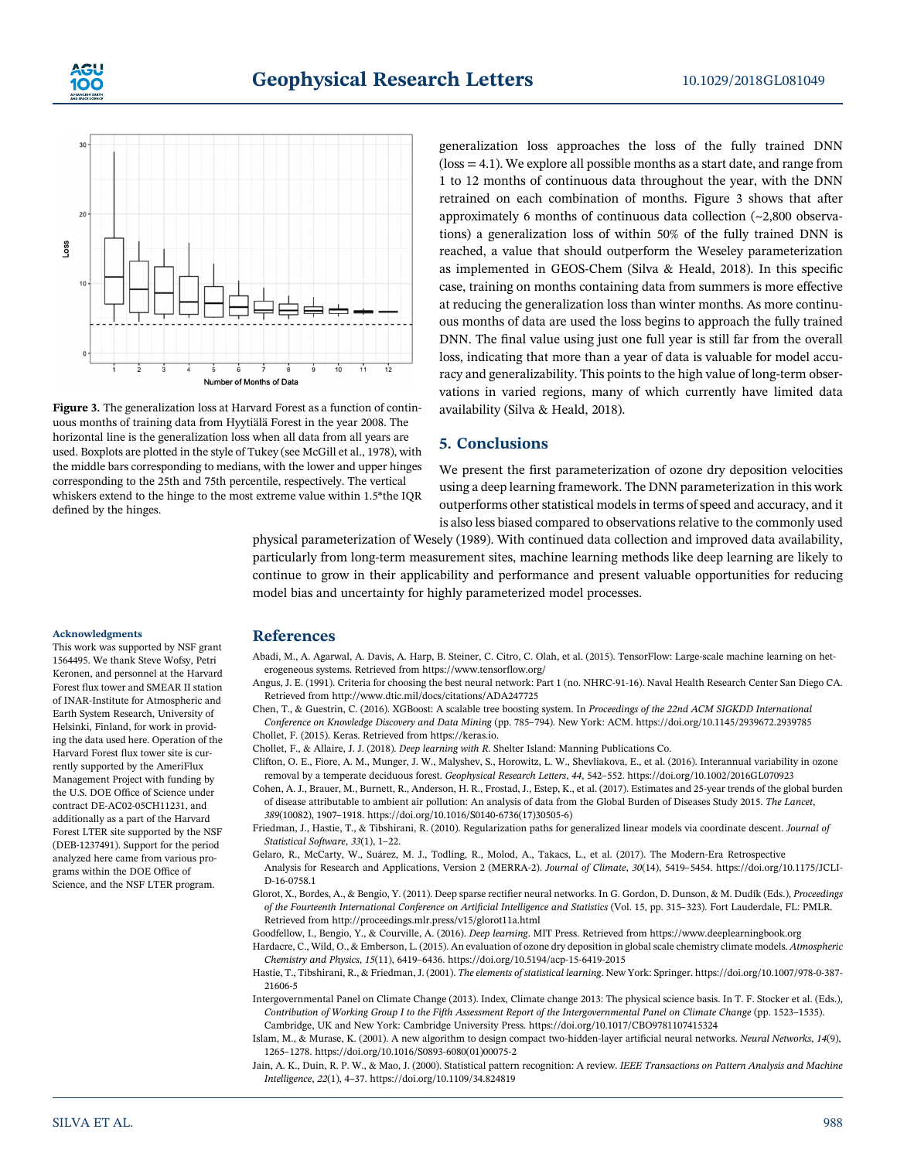



Figure 3. The generalization loss at Harvard Forest as a function of continuous months of training data from Hyytiälä Forest in the year 2008. The horizontal line is the generalization loss when all data from all years are used. Boxplots are plotted in the style of Tukey (see McGill et al., 1978), with the middle bars corresponding to medians, with the lower and upper hinges corresponding to the 25th and 75th percentile, respectively. The vertical whiskers extend to the hinge to the most extreme value within 1.5\*the IQR defined by the hinges.

generalization loss approaches the loss of the fully trained DNN  $($ loss  $=$  4.1 $)$ . We explore all possible months as a start date, and range from 1 to 12 months of continuous data throughout the year, with the DNN retrained on each combination of months. Figure 3 shows that after approximately 6 months of continuous data collection (~2,800 observations) a generalization loss of within 50% of the fully trained DNN is reached, a value that should outperform the Weseley parameterization as implemented in GEOS-Chem (Silva & Heald, 2018). In this specific case, training on months containing data from summers is more effective at reducing the generalization loss than winter months. As more continuous months of data are used the loss begins to approach the fully trained DNN. The final value using just one full year is still far from the overall loss, indicating that more than a year of data is valuable for model accuracy and generalizability. This points to the high value of long-term observations in varied regions, many of which currently have limited data availability (Silva & Heald, 2018).

# 5. Conclusions

We present the first parameterization of ozone dry deposition velocities using a deep learning framework. The DNN parameterization in this work outperforms other statistical models in terms of speed and accuracy, and it is also less biased compared to observations relative to the commonly used

physical parameterization of Wesely (1989). With continued data collection and improved data availability, particularly from long-term measurement sites, machine learning methods like deep learning are likely to continue to grow in their applicability and performance and present valuable opportunities for reducing model bias and uncertainty for highly parameterized model processes.

#### Acknowledgments

This work was supported by NSF grant 1564495. We thank Steve Wofsy, Petri Keronen, and personnel at the Harvard Forest flux tower and SMEAR II station of INAR-Institute for Atmospheric and Earth System Research, University of Helsinki, Finland, for work in providing the data used here. Operation of the Harvard Forest flux tower site is currently supported by the AmeriFlux Management Project with funding by the U.S. DOE Office of Science under contract DE-AC02-05CH11231, and additionally as a part of the Harvard Forest LTER site supported by the NSF (DEB-1237491). Support for the period analyzed here came from various programs within the DOE Office of Science, and the NSF LTER program.

#### References

- Abadi, M., A. Agarwal, A. Davis, A. Harp, B. Steiner, C. Citro, C. Olah, et al. (2015). TensorFlow: Large-scale machine learning on heterogeneous systems. Retrieved from [https://www.tensor](https://www.tensorflow.org)flow.org/
- Angus, J. E. (1991). Criteria for choosing the best neural network: Part 1 (no. NHRC-91-16). Naval Health Research Center San Diego CA. Retrieved from<http://www.dtic.mil/docs/citations/ADA247725>
- Chen, T., & Guestrin, C. (2016). XGBoost: A scalable tree boosting system. In Proceedings of the 22nd ACM SIGKDD International Conference on Knowledge Discovery and Data Mining (pp. 785–794). New York: ACM.<https://doi.org/10.1145/2939672.2939785> Chollet, F. (2015). Keras. Retrieved from [https://keras.io.](https://keras.io)
- Chollet, F., & Allaire, J. J. (2018). Deep learning with R. Shelter Island: Manning Publications Co.
- Clifton, O. E., Fiore, A. M., Munger, J. W., Malyshev, S., Horowitz, L. W., Shevliakova, E., et al. (2016). Interannual variability in ozone removal by a temperate deciduous forest. Geophysical Research Letters, <sup>44</sup>, 542–552.<https://doi.org/10.1002/2016GL070923>
- Cohen, A. J., Brauer, M., Burnett, R., Anderson, H. R., Frostad, J., Estep, K., et al. (2017). Estimates and 25-year trends of the global burden of disease attributable to ambient air pollution: An analysis of data from the Global Burden of Diseases Study 2015. The Lancet, <sup>389</sup>(10082), 1907–1918. [https://doi.org/10.1016/S0140-6736\(17\)30505-6\)](https://doi.org/10.1016/S0140-6736(17)30505-6)
- Friedman, J., Hastie, T., & Tibshirani, R. (2010). Regularization paths for generalized linear models via coordinate descent. Journal of Statistical Software, <sup>33</sup>(1), 1–22.
- Gelaro, R., McCarty, W., Suárez, M. J., Todling, R., Molod, A., Takacs, L., et al. (2017). The Modern-Era Retrospective Analysis for Research and Applications, Version 2 (MERRA-2). Journal of Climate, <sup>30</sup>(14), 5419–5454. [https://doi.org/10.1175/JCLI-](https://doi.org/10.1175/JCLI-D-16-0758.1)[D-16-0758.1](https://doi.org/10.1175/JCLI-D-16-0758.1)
- Glorot, X., Bordes, A., & Bengio, Y. (2011). Deep sparse rectifier neural networks. In G. Gordon, D. Dunson, & M. Dudík (Eds.), Proceedings of the Fourteenth International Conference on Artificial Intelligence and Statistics (Vol. 15, pp. 315–323). Fort Lauderdale, FL: PMLR. Retrieved from<http://proceedings.mlr.press/v15/glorot11a.html>
- Goodfellow, I., Bengio, Y., & Courville, A. (2016). Deep learning. MIT Press. Retrieved from<https://www.deeplearningbook.org>
- Hardacre, C., Wild, O., & Emberson, L. (2015). An evaluation of ozone dry deposition in global scale chemistry climate models. Atmospheric Chemistry and Physics, <sup>15</sup>(11), 6419–6436.<https://doi.org/10.5194/acp-15-6419-2015>
- Hastie, T., Tibshirani, R., & Friedman, J. (2001). The elements of statistical learning. New York: Springer. [https://doi.org/10.1007/978-0-387-](https://doi.org/10.1007/978-0-387-21606-5) [21606-5](https://doi.org/10.1007/978-0-387-21606-5)
- Intergovernmental Panel on Climate Change (2013). Index, Climate change 2013: The physical science basis. In T. F. Stocker et al. (Eds.), Contribution of Working Group I to the Fifth Assessment Report of the Intergovernmental Panel on Climate Change (pp. 1523–1535). Cambridge, UK and New York: Cambridge University Press.<https://doi.org/10.1017/CBO9781107415324>
- Islam, M., & Murase, K. (2001). A new algorithm to design compact two-hidden-layer artificial neural networks. Neural Networks, 14(9), <sup>1265</sup>–1278. [https://doi.org/10.1016/S0893-6080\(01\)00075-2](https://doi.org/10.1016/S0893-6080(01)00075-2)
- Jain, A. K., Duin, R. P. W., & Mao, J. (2000). Statistical pattern recognition: A review. IEEE Transactions on Pattern Analysis and Machine Intelligence, <sup>22</sup>(1), 4–37.<https://doi.org/10.1109/34.824819>